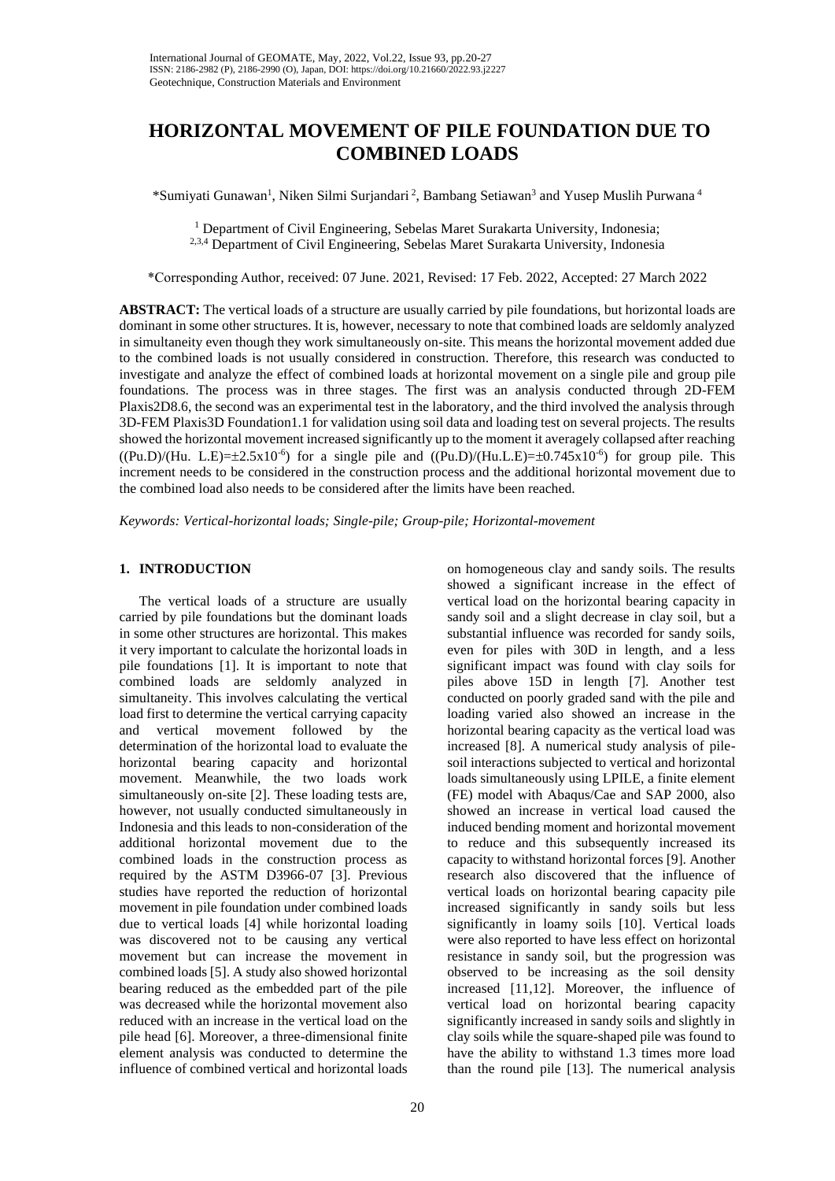# **HORIZONTAL MOVEMENT OF PILE FOUNDATION DUE TO COMBINED LOADS**

\*Sumiyati Gunawan<sup>1</sup>, Niken Silmi Surjandari<sup>2</sup>, Bambang Setiawan<sup>3</sup> and Yusep Muslih Purwana<sup>4</sup>

<sup>1</sup> Department of Civil Engineering, Sebelas Maret Surakarta University, Indonesia; 2,3,4 Department of Civil Engineering, Sebelas Maret Surakarta University, Indonesia

\*Corresponding Author, received: 07 June. 2021, Revised: 17 Feb. 2022, Accepted: 27 March 2022

**ABSTRACT:** The vertical loads of a structure are usually carried by pile foundations, but horizontal loads are dominant in some other structures. It is, however, necessary to note that combined loads are seldomly analyzed in simultaneity even though they work simultaneously on-site. This means the horizontal movement added due to the combined loads is not usually considered in construction. Therefore, this research was conducted to investigate and analyze the effect of combined loads at horizontal movement on a single pile and group pile foundations. The process was in three stages. The first was an analysis conducted through 2D-FEM Plaxis2D8.6, the second was an experimental test in the laboratory, and the third involved the analysis through 3D-FEM Plaxis3D Foundation1.1 for validation using soil data and loading test on several projects. The results showed the horizontal movement increased significantly up to the moment it averagely collapsed after reaching  $((Pu.D)/(Hu. L.E)=\pm 2.5x10^{-6})$  for a single pile and  $((Pu.D)/(Hu.L.E)=\pm 0.745x10^{-6})$  for group pile. This increment needs to be considered in the construction process and the additional horizontal movement due to the combined load also needs to be considered after the limits have been reached.

*Keywords: Vertical-horizontal loads; Single-pile; Group-pile; Horizontal-movement*

# **1. INTRODUCTION**

The vertical loads of a structure are usually carried by pile foundations but the dominant loads in some other structures are horizontal. This makes it very important to calculate the horizontal loads in pile foundations [1]. It is important to note that combined loads are seldomly analyzed in simultaneity. This involves calculating the vertical load first to determine the vertical carrying capacity and vertical movement followed by the determination of the horizontal load to evaluate the horizontal bearing capacity and horizontal movement. Meanwhile, the two loads work simultaneously on-site [2]. These loading tests are, however, not usually conducted simultaneously in Indonesia and this leads to non-consideration of the additional horizontal movement due to the combined loads in the construction process as required by the ASTM D3966-07 [3]. Previous studies have reported the reduction of horizontal movement in pile foundation under combined loads due to vertical loads [4] while horizontal loading was discovered not to be causing any vertical movement but can increase the movement in combined loads [5]. A study also showed horizontal bearing reduced as the embedded part of the pile was decreased while the horizontal movement also reduced with an increase in the vertical load on the pile head [6]. Moreover, a three-dimensional finite element analysis was conducted to determine the influence of combined vertical and horizontal loads

on homogeneous clay and sandy soils. The results showed a significant increase in the effect of vertical load on the horizontal bearing capacity in sandy soil and a slight decrease in clay soil, but a substantial influence was recorded for sandy soils, even for piles with 30D in length, and a less significant impact was found with clay soils for piles above 15D in length [7]. Another test conducted on poorly graded sand with the pile and loading varied also showed an increase in the horizontal bearing capacity as the vertical load was increased [8]. A numerical study analysis of pilesoil interactions subjected to vertical and horizontal loads simultaneously using LPILE, a finite element (FE) model with Abaqus/Cae and SAP 2000, also showed an increase in vertical load caused the induced bending moment and horizontal movement to reduce and this subsequently increased its capacity to withstand horizontal forces [9]. Another research also discovered that the influence of vertical loads on horizontal bearing capacity pile increased significantly in sandy soils but less significantly in loamy soils [10]. Vertical loads were also reported to have less effect on horizontal resistance in sandy soil, but the progression was observed to be increasing as the soil density increased [11,12]. Moreover, the influence of vertical load on horizontal bearing capacity significantly increased in sandy soils and slightly in clay soils while the square-shaped pile was found to have the ability to withstand 1.3 times more load than the round pile [13]. The numerical analysis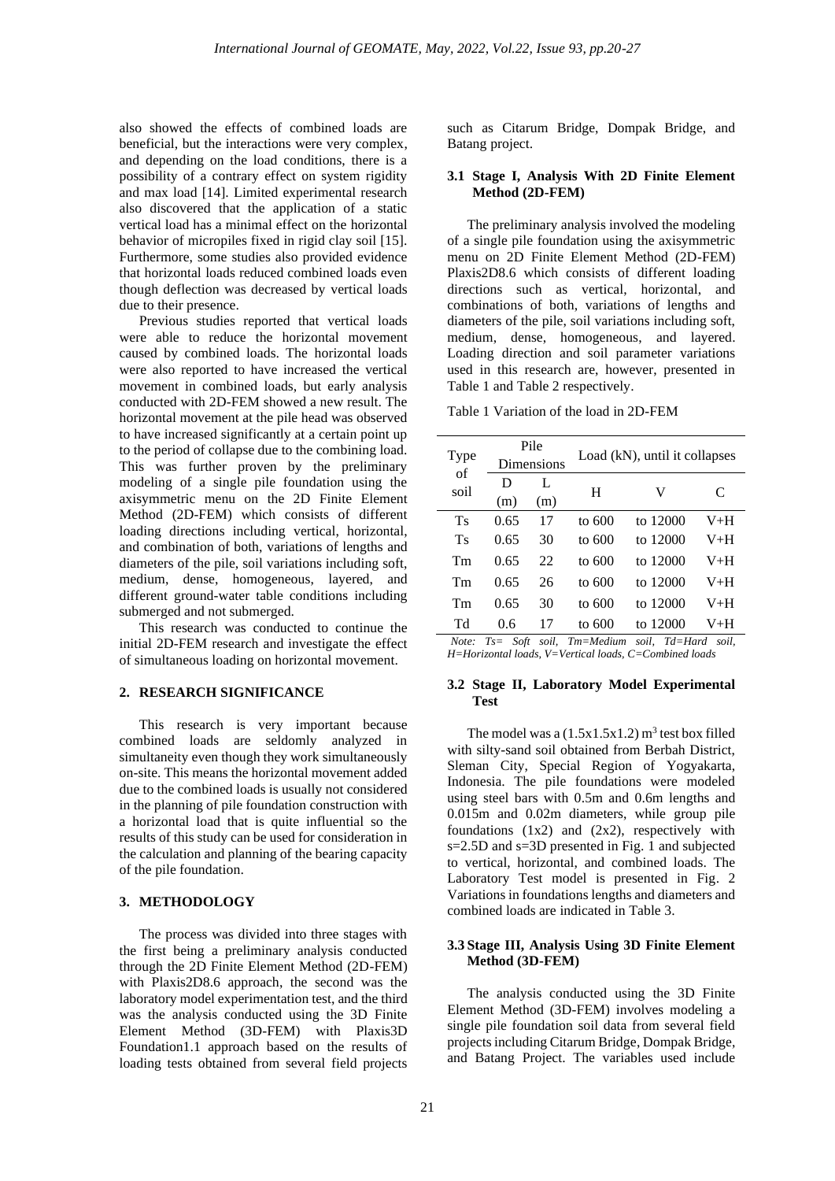also showed the effects of combined loads are beneficial, but the interactions were very complex, and depending on the load conditions, there is a possibility of a contrary effect on system rigidity and max load [14]. Limited experimental research also discovered that the application of a static vertical load has a minimal effect on the horizontal behavior of micropiles fixed in rigid clay soil [15]. Furthermore, some studies also provided evidence that horizontal loads reduced combined loads even though deflection was decreased by vertical loads due to their presence.

Previous studies reported that vertical loads were able to reduce the horizontal movement caused by combined loads. The horizontal loads were also reported to have increased the vertical movement in combined loads, but early analysis conducted with 2D-FEM showed a new result. The horizontal movement at the pile head was observed to have increased significantly at a certain point up to the period of collapse due to the combining load. This was further proven by the preliminary modeling of a single pile foundation using the axisymmetric menu on the 2D Finite Element Method (2D-FEM) which consists of different loading directions including vertical, horizontal, and combination of both, variations of lengths and diameters of the pile, soil variations including soft, medium, dense, homogeneous, layered, and different ground-water table conditions including submerged and not submerged.

This research was conducted to continue the initial 2D-FEM research and investigate the effect of simultaneous loading on horizontal movement.

## **2. RESEARCH SIGNIFICANCE**

This research is very important because combined loads are seldomly analyzed in simultaneity even though they work simultaneously on-site. This means the horizontal movement added due to the combined loads is usually not considered in the planning of pile foundation construction with a horizontal load that is quite influential so the results of this study can be used for consideration in the calculation and planning of the bearing capacity of the pile foundation.

# **3. METHODOLOGY**

The process was divided into three stages with the first being a preliminary analysis conducted through the 2D Finite Element Method (2D-FEM) with Plaxis2D8.6 approach, the second was the laboratory model experimentation test, and the third was the analysis conducted using the 3D Finite Element Method (3D-FEM) with Plaxis3D Foundation1.1 approach based on the results of loading tests obtained from several field projects

such as Citarum Bridge, Dompak Bridge, and Batang project.

## **3.1 Stage I, Analysis With 2D Finite Element Method (2D-FEM)**

The preliminary analysis involved the modeling of a single pile foundation using the axisymmetric menu on 2D Finite Element Method (2D-FEM) Plaxis2D8.6 which consists of different loading directions such as vertical, horizontal, and combinations of both, variations of lengths and diameters of the pile, soil variations including soft, medium, dense, homogeneous, and layered. Loading direction and soil parameter variations used in this research are, however, presented in Table 1 and Table 2 respectively.

Table 1 Variation of the load in 2D-FEM

| Type<br>of |      | Pile       |        |                               |       |  |  |  |
|------------|------|------------|--------|-------------------------------|-------|--|--|--|
|            |      | Dimensions |        | Load (kN), until it collapses |       |  |  |  |
| soil       | D    | L          | Н      | V                             | C     |  |  |  |
|            | (m)  | (m)        |        |                               |       |  |  |  |
| Ts         | 0.65 | 17         | to 600 | to 12000                      | $V+H$ |  |  |  |
| <b>Ts</b>  | 0.65 | 30         | to 600 | to 12000                      | V+H   |  |  |  |
| Tm         | 0.65 | 22         | to 600 | to 12000                      | $V+H$ |  |  |  |
| Tm         | 0.65 | 26         | to 600 | to 12000                      | $V+H$ |  |  |  |
| Tm         | 0.65 | 30         | to 600 | to 12000                      | V+H   |  |  |  |
| Td         | 0.6  | 17         | to 600 | to 12000                      | V+H   |  |  |  |
|            |      |            |        | ____                          |       |  |  |  |

*Note: Ts= Soft soil, Tm=Medium soil, Td=Hard soil, H=Horizontal loads, V=Vertical loads, C=Combined loads*

#### **3.2 Stage II, Laboratory Model Experimental Test**

The model was a  $(1.5x1.5x1.2)$  m<sup>3</sup> test box filled with silty-sand soil obtained from Berbah District, Sleman City, Special Region of Yogyakarta, Indonesia. The pile foundations were modeled using steel bars with 0.5m and 0.6m lengths and 0.015m and 0.02m diameters, while group pile foundations  $(1x2)$  and  $(2x2)$ , respectively with s=2.5D and s=3D presented in Fig. 1 and subjected to vertical, horizontal, and combined loads. The Laboratory Test model is presented in Fig. 2 Variations in foundations lengths and diameters and combined loads are indicated in Table 3.

# **3.3 Stage III, Analysis Using 3D Finite Element Method (3D-FEM)**

The analysis conducted using the 3D Finite Element Method (3D-FEM) involves modeling a single pile foundation soil data from several field projects including Citarum Bridge, Dompak Bridge, and Batang Project. The variables used include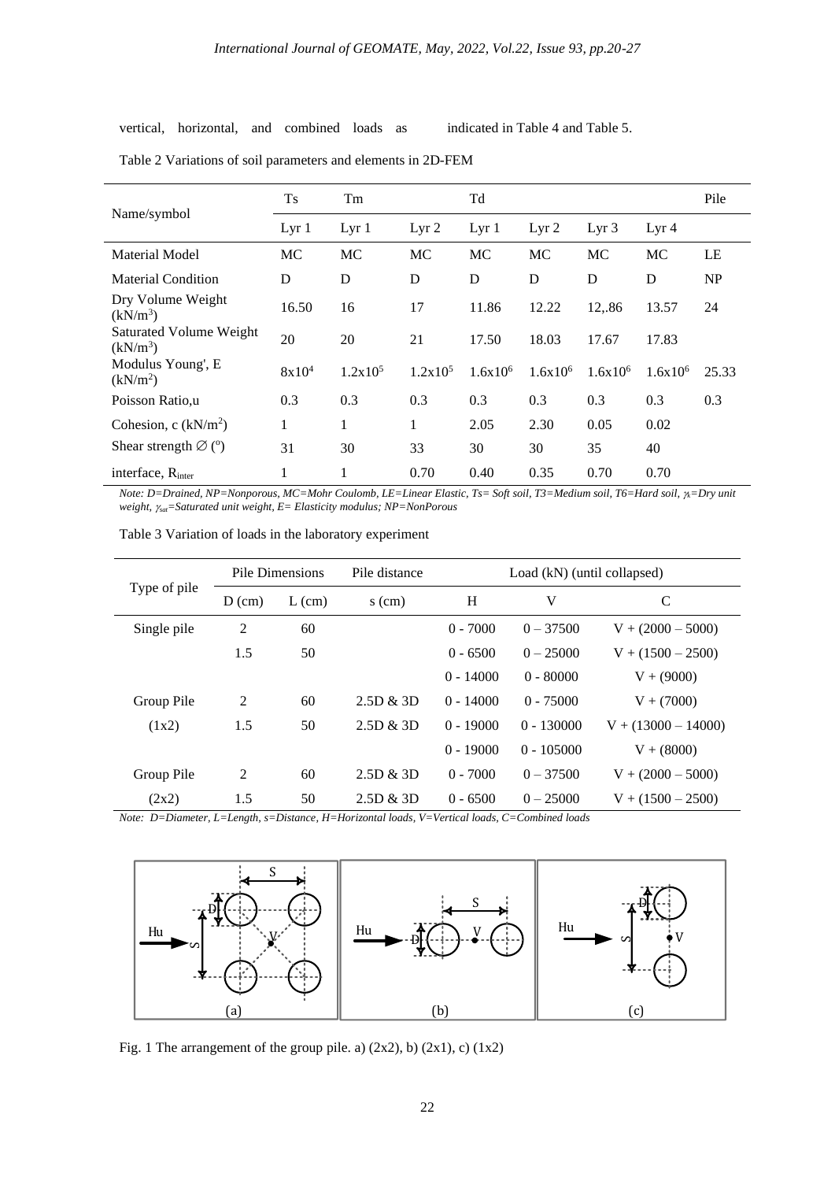vertical, horizontal, and combined loads as indicated in Table 4 and Table 5.

|                                              | <b>Ts</b>        | Tm               | Td                  |                  |                  |                  |                  |       |  |
|----------------------------------------------|------------------|------------------|---------------------|------------------|------------------|------------------|------------------|-------|--|
| Name/symbol                                  | Lyr <sub>1</sub> | Lyr <sub>1</sub> | Lyr <sub>2</sub>    | Lyr <sub>1</sub> | Lyr <sub>2</sub> | Lyr <sub>3</sub> | Lyr <sub>4</sub> |       |  |
| <b>Material Model</b>                        | MC               | MC               | <b>MC</b>           | MC               | MC               | MC               | MC               | LE    |  |
| <b>Material Condition</b>                    | D                | D                | D                   | D                | D                | D                | D                | NP    |  |
| Dry Volume Weight<br>$(kN/m^3)$              | 16.50            | 16               | 17                  | 11.86            | 12.22            | 12,.86           | 13.57            | 24    |  |
| <b>Saturated Volume Weight</b><br>$(kN/m^3)$ | 20               | 20               | 21                  | 17.50            | 18.03            | 17.67            | 17.83            |       |  |
| Modulus Young', E<br>(kN/m <sup>2</sup> )    | $8x10^4$         | $1.2x10^5$       | 1.2x10 <sup>5</sup> | $1.6x10^{6}$     | $1.6x10^{6}$     | $1.6x10^{6}$     | $1.6x10^{6}$     | 25.33 |  |
| Poisson Ratio,u                              | 0.3              | 0.3              | 0.3                 | 0.3              | 0.3              | 0.3              | 0.3              | 0.3   |  |
| Cohesion, c $(kN/m2)$                        | 1                | 1                | 1                   | 2.05             | 2.30             | 0.05             | 0.02             |       |  |
| Shear strength $\varnothing$ (°)             | 31               | 30               | 33                  | 30               | 30               | 35               | 40               |       |  |
| interface, R <sub>inter</sub>                | 1                | 1                | 0.70                | 0.40             | 0.35             | 0.70             | 0.70             |       |  |

Table 2 Variations of soil parameters and elements in 2D-FEM

*Note: D=Drained, NP=Nonporous, MC=Mohr Coulomb, LE=Linear Elastic, Ts= Soft soil, T3=Medium soil, T6=Hard soil, k=Dry unit weight, sat=Saturated unit weight, E= Elasticity modulus; NP=NonPorous*

| Type of pile | Pile Dimensions |          | Pile distance | Load (kN) (until collapsed) |              |                       |  |  |
|--------------|-----------------|----------|---------------|-----------------------------|--------------|-----------------------|--|--|
|              | $D$ (cm)        | $L$ (cm) | $s$ (cm)      | H                           | V            | $\mathcal{C}$         |  |  |
| Single pile  | $\overline{2}$  | 60       |               | $0 - 7000$                  | $0 - 37500$  | $V + (2000 - 5000)$   |  |  |
|              | 1.5             | 50       |               | $0 - 6500$                  | $0 - 25000$  | $V + (1500 - 2500)$   |  |  |
|              |                 |          |               | $0 - 14000$                 | $0 - 80000$  | $V + (9000)$          |  |  |
| Group Pile   | $\overline{2}$  | 60       | 2.5D & 3D     | $0 - 14000$                 | $0 - 75000$  | $V + (7000)$          |  |  |
| (1x2)        | 1.5             | 50       | 2.5D & 3D     | $0 - 19000$                 | $0 - 130000$ | $V + (13000 - 14000)$ |  |  |
|              |                 |          |               | $0 - 19000$                 | $0 - 105000$ | $V + (8000)$          |  |  |
| Group Pile   | $\overline{2}$  | 60       | 2.5D & 3D     | $0 - 7000$                  | $0 - 37500$  | $V + (2000 - 5000)$   |  |  |
| (2x2)        | 1.5             | 50       | 2.5D & 3D     | $0 - 6500$                  | $0 - 25000$  | $V + (1500 - 2500)$   |  |  |

Table 3 Variation of loads in the laboratory experiment

*Note: D=Diameter, L=Length, s=Distance, H=Horizontal loads, V=Vertical loads, C=Combined loads*



Fig. 1 The arrangement of the group pile. a)  $(2x2)$ , b)  $(2x1)$ , c)  $(1x2)$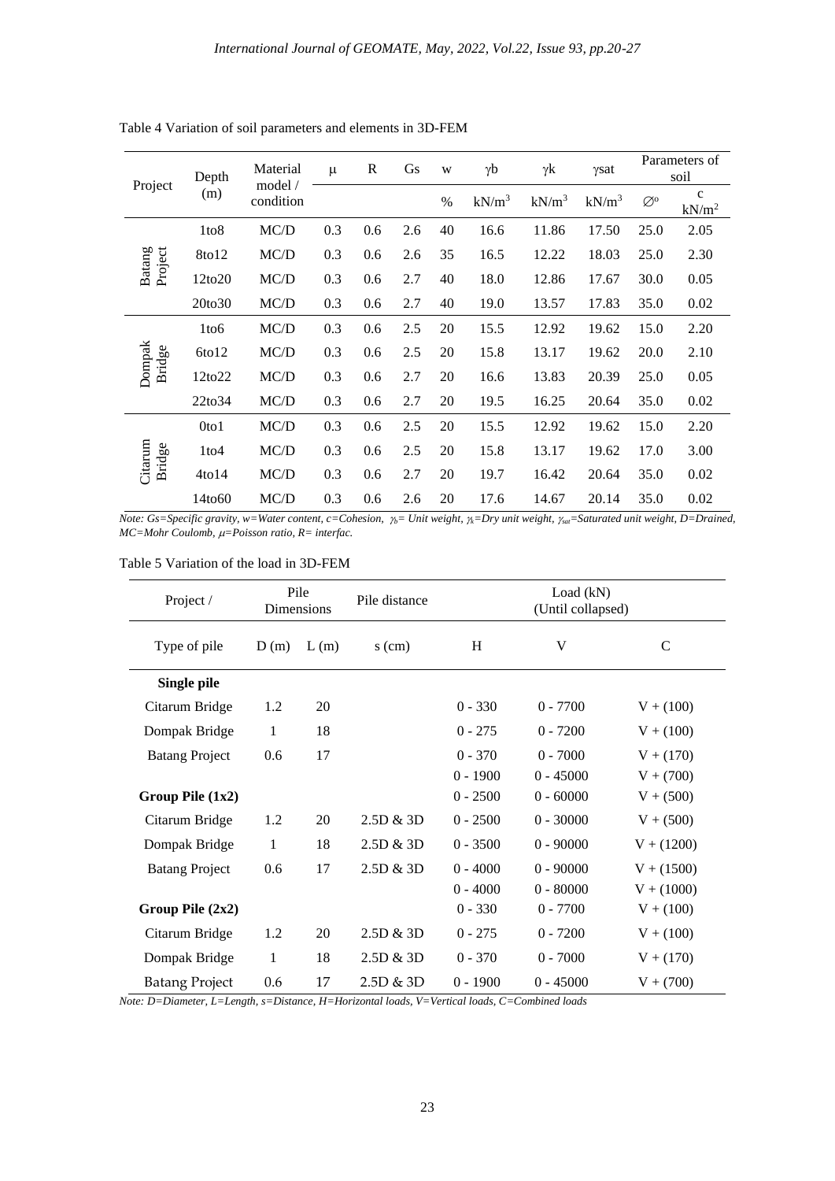| Project           | Depth              | Material             | $\mu$ | $\mathbb{R}$ | Gs  | W    | $\gamma b$ | γk       | γsat     |                   | Parameters of<br>soil             |
|-------------------|--------------------|----------------------|-------|--------------|-----|------|------------|----------|----------|-------------------|-----------------------------------|
|                   | (m)                | model /<br>condition |       |              |     | $\%$ | $kN/m^3$   | $kN/m^3$ | $kN/m^3$ | $\oslash^{\rm o}$ | $\mathbf{C}$<br>kN/m <sup>2</sup> |
|                   | 1to8               | MC/D                 | 0.3   | 0.6          | 2.6 | 40   | 16.6       | 11.86    | 17.50    | 25.0              | 2.05                              |
|                   | 8to12              | MC/D                 | 0.3   | 0.6          | 2.6 | 35   | 16.5       | 12.22    | 18.03    | 25.0              | 2.30                              |
| Project<br>Batang | 12to20             | MC/D                 | 0.3   | 0.6          | 2.7 | 40   | 18.0       | 12.86    | 17.67    | 30.0              | 0.05                              |
|                   | 20to30             | MC/D                 | 0.3   | 0.6          | 2.7 | 40   | 19.0       | 13.57    | 17.83    | 35.0              | 0.02                              |
| Dompak<br>Bridge  | 1to <sub>6</sub>   | MC/D                 | 0.3   | 0.6          | 2.5 | 20   | 15.5       | 12.92    | 19.62    | 15.0              | 2.20                              |
|                   | 6t012              | MC/D                 | 0.3   | 0.6          | 2.5 | 20   | 15.8       | 13.17    | 19.62    | 20.0              | 2.10                              |
|                   | 12to22             | MC/D                 | 0.3   | 0.6          | 2.7 | 20   | 16.6       | 13.83    | 20.39    | 25.0              | 0.05                              |
|                   | 22to34             | MC/D                 | 0.3   | 0.6          | 2.7 | 20   | 19.5       | 16.25    | 20.64    | 35.0              | 0.02                              |
| Citarum<br>Bridge | Oto1               | MC/D                 | 0.3   | 0.6          | 2.5 | 20   | 15.5       | 12.92    | 19.62    | 15.0              | 2.20                              |
|                   | 1 <sub>to4</sub>   | MC/D                 | 0.3   | 0.6          | 2.5 | 20   | 15.8       | 13.17    | 19.62    | 17.0              | 3.00                              |
|                   | 4t <sub>0</sub> 14 | MC/D                 | 0.3   | 0.6          | 2.7 | 20   | 19.7       | 16.42    | 20.64    | 35.0              | 0.02                              |
|                   | 14to60             | MC/D                 | 0.3   | 0.6          | 2.6 | 20   | 17.6       | 14.67    | 20.14    | 35.0              | 0.02                              |

Table 4 Variation of soil parameters and elements in 3D-FEM

*Note: Gs=Specific gravity, w=Water content, c=Cohesion,*  $\gamma$ *<sub>b</sub>= Unit weight,*  $\gamma$ *<sub>k</sub>=Dry unit weight,*  $\gamma$ *<sub>sat</sub>=Saturated unit weight, D=Drained, MC=Mohr Coulomb,*  $\mu$ *=Poisson ratio, R= interfac.* 

|  | Table 5 Variation of the load in 3D-FEM |  |  |  |  |  |
|--|-----------------------------------------|--|--|--|--|--|
|--|-----------------------------------------|--|--|--|--|--|

| Project /             |      | Pile<br>Dimensions | Pile distance | Load (kN)<br>(Until collapsed) |             |              |
|-----------------------|------|--------------------|---------------|--------------------------------|-------------|--------------|
| Type of pile          | D(m) | L(m)               | $s$ (cm)      | H                              | V           | $\mathsf{C}$ |
| Single pile           |      |                    |               |                                |             |              |
| Citarum Bridge        | 1.2  | 20                 |               | $0 - 330$                      | $0 - 7700$  | $V + (100)$  |
| Dompak Bridge         | 1    | 18                 |               | $0 - 275$                      | $0 - 7200$  | $V + (100)$  |
| <b>Batang Project</b> | 0.6  | 17                 |               | $0 - 370$                      | $0 - 7000$  | $V + (170)$  |
|                       |      |                    |               | $0 - 1900$                     | $0 - 45000$ | $V + (700)$  |
| Group Pile $(1x2)$    |      |                    |               | $0 - 2500$                     | $0 - 60000$ | $V + (500)$  |
| Citarum Bridge        | 1.2  | 20                 | 2.5D & 3D     | $0 - 2500$                     | $0 - 30000$ | $V + (500)$  |
| Dompak Bridge         | 1    | 18                 | 2.5D & 3D     | $0 - 3500$                     | $0 - 90000$ | $V + (1200)$ |
| <b>Batang Project</b> | 0.6  | 17                 | 2.5D & 3D     | $0 - 4000$                     | $0 - 90000$ | $V + (1500)$ |
|                       |      |                    |               | $0 - 4000$                     | $0 - 80000$ | $V + (1000)$ |
| Group Pile $(2x2)$    |      |                    |               | $0 - 330$                      | $0 - 7700$  | $V + (100)$  |
| Citarum Bridge        | 1.2  | 20                 | 2.5D & 3D     | $0 - 275$                      | $0 - 7200$  | $V + (100)$  |
| Dompak Bridge         | 1    | 18                 | 2.5D & 3D     | $0 - 370$                      | $0 - 7000$  | $V + (170)$  |
| <b>Batang Project</b> | 0.6  | 17                 | 2.5D & 3D     | $0 - 1900$                     | $0 - 45000$ | $V + (700)$  |

*Note: D=Diameter, L=Length, s=Distance, H=Horizontal loads, V=Vertical loads, C=Combined loads*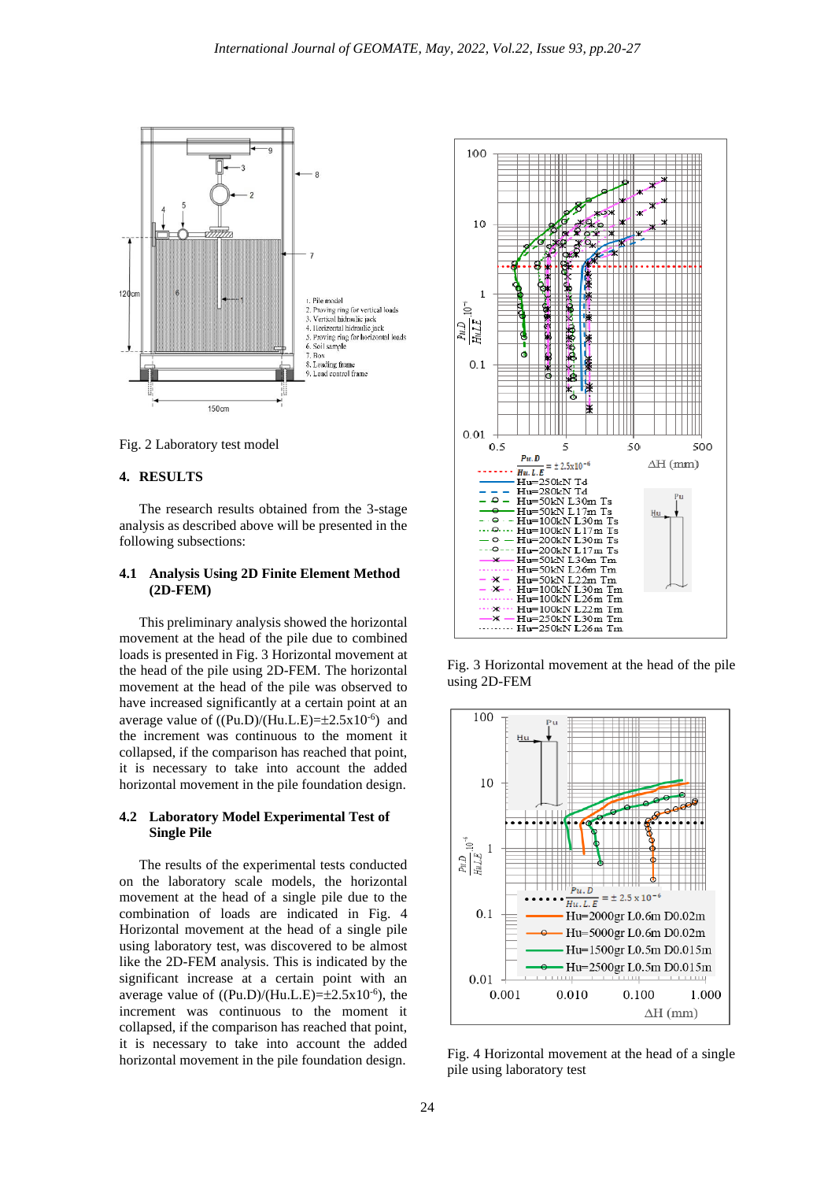

Fig. 2 Laboratory test model

#### **4. RESULTS**

The research results obtained from the 3-stage analysis as described above will be presented in the following subsections:

## **4.1 Analysis Using 2D Finite Element Method (2D-FEM)**

This preliminary analysis showed the horizontal movement at the head of the pile due to combined loads is presented in Fig. 3 Horizontal movement at the head of the pile using 2D-FEM. The horizontal movement at the head of the pile was observed to have increased significantly at a certain point at an average value of  $((Pu.D)/(Hu.L.E)=\pm 2.5x10^{-6})$  and the increment was continuous to the moment it collapsed, if the comparison has reached that point, it is necessary to take into account the added horizontal movement in the pile foundation design.

#### **4.2 Laboratory Model Experimental Test of Single Pile**

The results of the experimental tests conducted on the laboratory scale models, the horizontal movement at the head of a single pile due to the combination of loads are indicated in Fig. 4 Horizontal movement at the head of a single pile using laboratory test, was discovered to be almost like the 2D-FEM analysis. This is indicated by the significant increase at a certain point with an average value of  $((Pu.D)/(Hu.L.E)=\pm 2.5x10^{-6})$ , the increment was continuous to the moment it collapsed, if the comparison has reached that point, it is necessary to take into account the added horizontal movement in the pile foundation design.



Fig. 3 Horizontal movement at the head of the pile using 2D-FEM



Fig. 4 Horizontal movement at the head of a single pile using laboratory test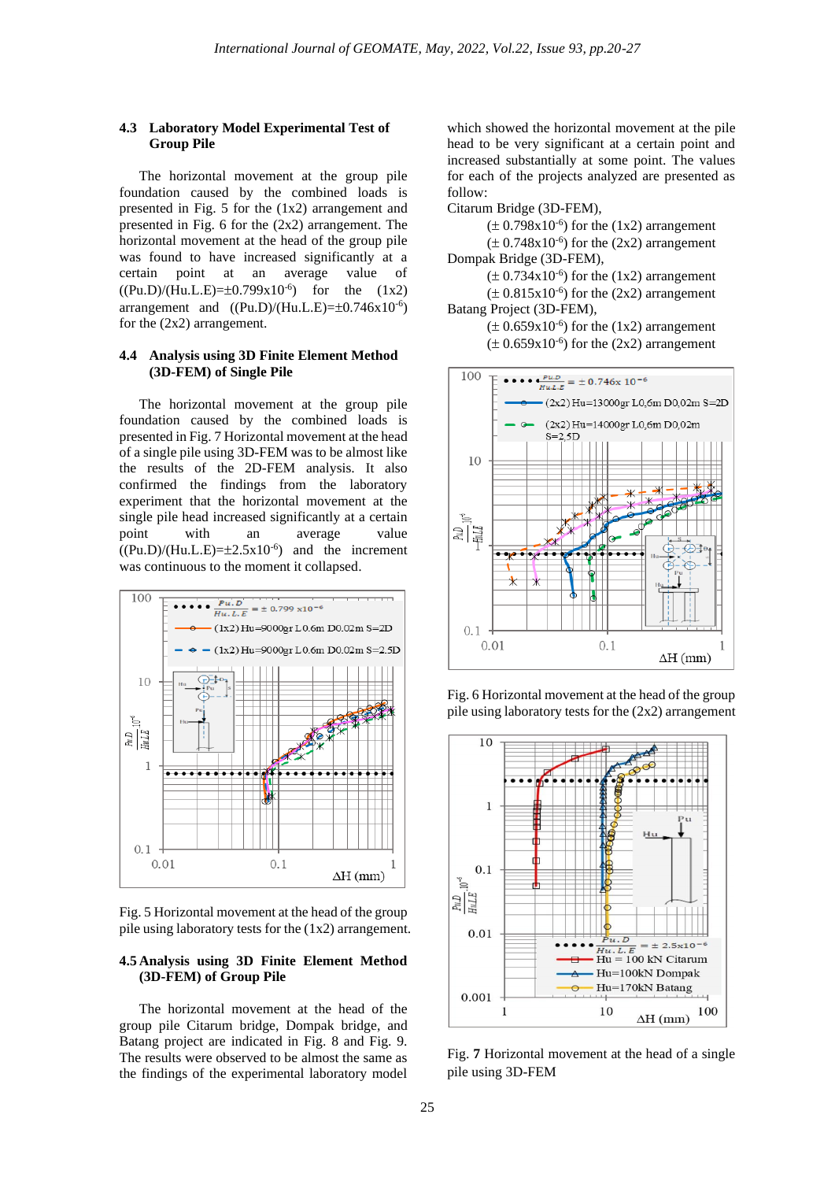## **4.3 Laboratory Model Experimental Test of Group Pile**

The horizontal movement at the group pile foundation caused by the combined loads is presented in Fig. 5 for the (1x2) arrangement and presented in Fig. 6 for the (2x2) arrangement. The horizontal movement at the head of the group pile was found to have increased significantly at a certain point at an average value of  $((Pu.D)/(Hu.L.E)=\pm 0.799x10^{-6})$  for the  $(1x2)$ arrangement and  $((Pu.D)/(Hu.L.E)=\pm 0.746 \times 10^{-6})$ for the (2x2) arrangement.

## **4.4 Analysis using 3D Finite Element Method (3D-FEM) of Single Pile**

The horizontal movement at the group pile foundation caused by the combined loads is presented in Fig. 7 Horizontal movement at the head of a single pile using 3D-FEM was to be almost like the results of the 2D-FEM analysis. It also confirmed the findings from the laboratory experiment that the horizontal movement at the single pile head increased significantly at a certain point with an average value  $((Pu.D)/(Hu.L.E)=\pm 2.5x10^{-6})$  and the increment was continuous to the moment it collapsed.



Fig. 5 Horizontal movement at the head of the group pile using laboratory tests for the (1x2) arrangement.

# **4.5 Analysis using 3D Finite Element Method (3D-FEM) of Group Pile**

The horizontal movement at the head of the group pile Citarum bridge, Dompak bridge, and Batang project are indicated in Fig. 8 and Fig. 9. The results were observed to be almost the same as the findings of the experimental laboratory model

which showed the horizontal movement at the pile head to be very significant at a certain point and increased substantially at some point. The values for each of the projects analyzed are presented as follow:

Citarum Bridge (3D-FEM),

 $(\pm 0.798x10^{-6})$  for the (1x2) arrangement  $(\pm 0.748x10^{-6})$  for the (2x2) arrangement Dompak Bridge (3D-FEM),

 $(\pm 0.734x10^{-6})$  for the (1x2) arrangement  $(\pm 0.815 \times 10^{-6})$  for the (2x2) arrangement

Batang Project (3D-FEM),

 $(\pm 0.659x10^{-6})$  for the (1x2) arrangement  $(\pm 0.659 \text{x} 10^{-6})$  for the (2x2) arrangement



Fig. 6 Horizontal movement at the head of the group pile using laboratory tests for the (2x2) arrangement



Fig. **7** Horizontal movement at the head of a single pile using 3D-FEM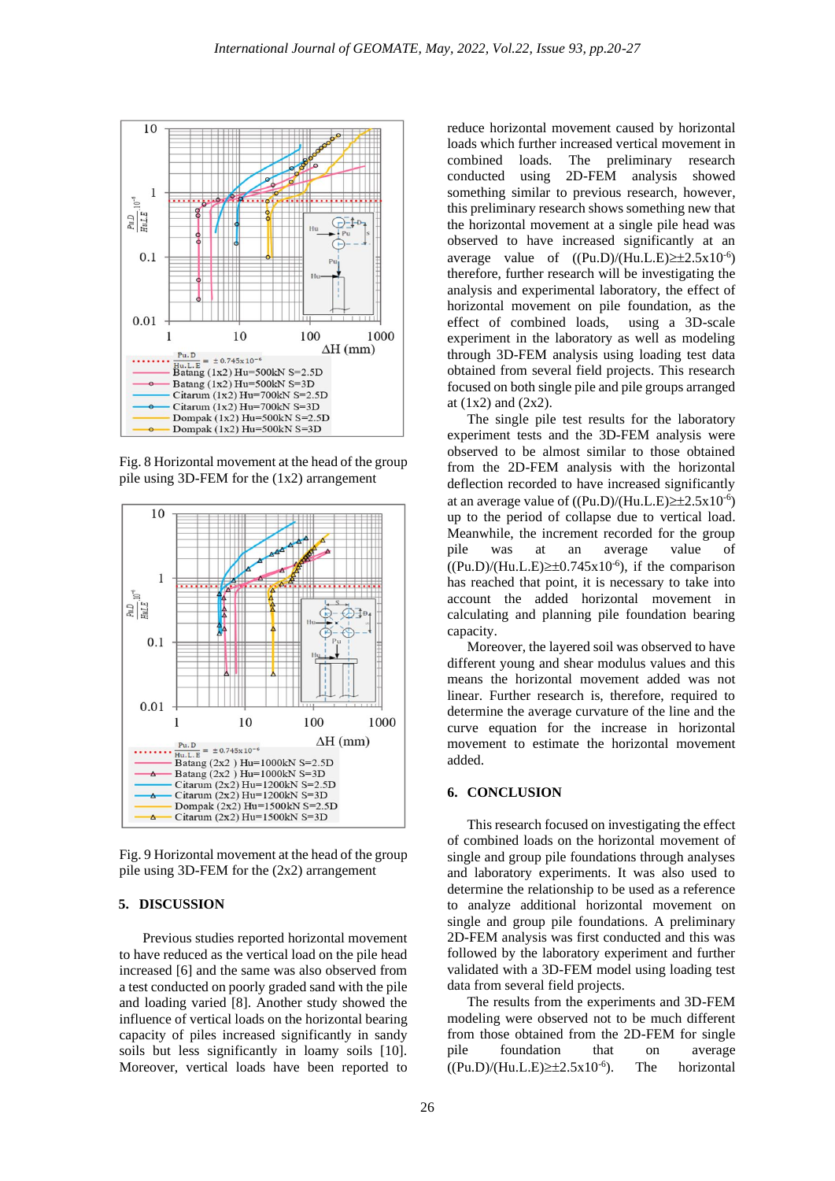

Fig. 8 Horizontal movement at the head of the group pile using 3D-FEM for the (1x2) arrangement



Fig. 9 Horizontal movement at the head of the group pile using 3D-FEM for the (2x2) arrangement

#### **5. DISCUSSION**

Previous studies reported horizontal movement to have reduced as the vertical load on the pile head increased [6] and the same was also observed from a test conducted on poorly graded sand with the pile and loading varied [8]. Another study showed the influence of vertical loads on the horizontal bearing capacity of piles increased significantly in sandy soils but less significantly in loamy soils [10]. Moreover, vertical loads have been reported to

reduce horizontal movement caused by horizontal loads which further increased vertical movement in combined loads. The preliminary research conducted using 2D-FEM analysis showed something similar to previous research, however, this preliminary research shows something new that the horizontal movement at a single pile head was observed to have increased significantly at an average value of  $((Pu.D)/(Hu.L.E) \ge \pm 2.5x10^{-6})$ therefore, further research will be investigating the analysis and experimental laboratory, the effect of horizontal movement on pile foundation, as the effect of combined loads, using a 3D-scale experiment in the laboratory as well as modeling through 3D-FEM analysis using loading test data obtained from several field projects. This research focused on both single pile and pile groups arranged at (1x2) and (2x2).

The single pile test results for the laboratory experiment tests and the 3D-FEM analysis were observed to be almost similar to those obtained from the 2D-FEM analysis with the horizontal deflection recorded to have increased significantly at an average value of  $((Pu.D)/(Hu.L.E) \geq \pm 2.5x10^{-6})$ up to the period of collapse due to vertical load. Meanwhile, the increment recorded for the group pile was at an average value of  $((Pu.D)/(Hu.L.E) \geq \pm 0.745 \times 10^{-6})$ , if the comparison has reached that point, it is necessary to take into account the added horizontal movement in calculating and planning pile foundation bearing capacity.

Moreover, the layered soil was observed to have different young and shear modulus values and this means the horizontal movement added was not linear. Further research is, therefore, required to determine the average curvature of the line and the curve equation for the increase in horizontal movement to estimate the horizontal movement added.

## **6. CONCLUSION**

This research focused on investigating the effect of combined loads on the horizontal movement of single and group pile foundations through analyses and laboratory experiments. It was also used to determine the relationship to be used as a reference to analyze additional horizontal movement on single and group pile foundations. A preliminary 2D-FEM analysis was first conducted and this was followed by the laboratory experiment and further validated with a 3D-FEM model using loading test data from several field projects.

The results from the experiments and 3D-FEM modeling were observed not to be much different from those obtained from the 2D-FEM for single pile foundation that on average  $((Pu.D)/(Hu.L.E) \geq \pm 2.5x10^{-6}).$ ). The horizontal